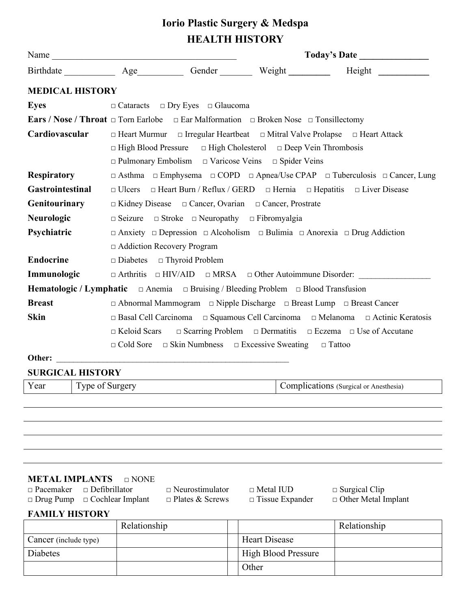# **Iorio Plastic Surgery & Medspa HEALTH HISTORY**

|                                                                                        | Name                                                                                                            |                                                                                                                                                       |  |                                                                                                         |  |  |  |
|----------------------------------------------------------------------------------------|-----------------------------------------------------------------------------------------------------------------|-------------------------------------------------------------------------------------------------------------------------------------------------------|--|---------------------------------------------------------------------------------------------------------|--|--|--|
|                                                                                        |                                                                                                                 |                                                                                                                                                       |  | Birthdate _____________ Age___________ Gender ________ Weight _________ Height _________                |  |  |  |
|                                                                                        | <b>MEDICAL HISTORY</b>                                                                                          |                                                                                                                                                       |  |                                                                                                         |  |  |  |
| <b>Eyes</b>                                                                            |                                                                                                                 | $\Box$ Cataracts $\Box$ Dry Eyes $\Box$ Glaucoma                                                                                                      |  |                                                                                                         |  |  |  |
|                                                                                        | <b>Ears / Nose / Throat</b> $\Box$ Torn Earlobe $\Box$ Ear Malformation $\Box$ Broken Nose $\Box$ Tonsillectomy |                                                                                                                                                       |  |                                                                                                         |  |  |  |
| Cardiovascular                                                                         |                                                                                                                 | $\Box$ High Blood Pressure $\Box$ High Cholesterol $\Box$ Deep Vein Thrombosis<br>$\Box$ Pulmonary Embolism $\Box$ Varicose Veins $\Box$ Spider Veins |  | $\Box$ Heart Murmur $\Box$ Irregular Heartbeat $\Box$ Mitral Valve Prolapse $\Box$ Heart Attack         |  |  |  |
| <b>Respiratory</b>                                                                     |                                                                                                                 | $\Box$ Asthma $\Box$ Emphysema $\Box$ COPD $\Box$ Apnea/Use CPAP $\Box$ Tuberculosis $\Box$ Cancer, Lung                                              |  |                                                                                                         |  |  |  |
| Gastrointestinal                                                                       |                                                                                                                 |                                                                                                                                                       |  | $\Box$ Ulcers $\Box$ Heart Burn / Reflux / GERD $\Box$ Hernia $\Box$ Hepatitis $\Box$ Liver Disease     |  |  |  |
|                                                                                        | Genitourinary<br>$\Box$ Kidney Disease $\Box$ Cancer, Ovarian $\Box$ Cancer, Prostrate                          |                                                                                                                                                       |  |                                                                                                         |  |  |  |
| <b>Neurologic</b>                                                                      | $\Box$ Seizure $\Box$ Stroke $\Box$ Neuropathy $\Box$ Fibromyalgia                                              |                                                                                                                                                       |  |                                                                                                         |  |  |  |
| Psychiatric                                                                            | $\Box$ Addiction Recovery Program                                                                               |                                                                                                                                                       |  | $\Box$ Anxiety $\Box$ Depression $\Box$ Alcoholism $\Box$ Bulimia $\Box$ Anorexia $\Box$ Drug Addiction |  |  |  |
| <b>Endocrine</b>                                                                       | $\Box$ Diabetes $\Box$ Thyroid Problem                                                                          |                                                                                                                                                       |  |                                                                                                         |  |  |  |
| Immunologic                                                                            |                                                                                                                 |                                                                                                                                                       |  | □ Arthritis □ HIV/AID □ MRSA □ Other Autoimmune Disorder:                                               |  |  |  |
|                                                                                        | <b>Hematologic / Lymphatic</b> $\Box$ Anemia $\Box$ Bruising / Bleeding Problem $\Box$ Blood Transfusion        |                                                                                                                                                       |  |                                                                                                         |  |  |  |
| <b>Breast</b><br>□ Abnormal Mammogram □ Nipple Discharge □ Breast Lump □ Breast Cancer |                                                                                                                 |                                                                                                                                                       |  |                                                                                                         |  |  |  |
| <b>Skin</b>                                                                            |                                                                                                                 | □ Basal Cell Carcinoma □ Squamous Cell Carcinoma □ Melanoma □ Actinic Keratosis                                                                       |  |                                                                                                         |  |  |  |
|                                                                                        |                                                                                                                 |                                                                                                                                                       |  | $\Box$ Keloid Scars $\Box$ Scarring Problem $\Box$ Dermatitis $\Box$ Eczema $\Box$ Use of Accutane      |  |  |  |
| $\Box$ Cold Sore<br>$\Box$ Skin Numbness $\Box$ Excessive Sweating $\Box$ Tattoo       |                                                                                                                 |                                                                                                                                                       |  |                                                                                                         |  |  |  |
| Other:                                                                                 |                                                                                                                 | <u> 1989 - Johann Barbara, marka a shekara tsa 1989 - An tsa 1989 - An tsa 1989 - An tsa 1989 - An tsa 1989 - An</u>                                  |  |                                                                                                         |  |  |  |
|                                                                                        | <b>SURGICAL HISTORY</b>                                                                                         |                                                                                                                                                       |  |                                                                                                         |  |  |  |
| Year                                                                                   | Type of Surgery                                                                                                 |                                                                                                                                                       |  | Complications (Surgical or Anesthesia)                                                                  |  |  |  |

### **METAL IMPLANTS** □ NONE

| $\Box$ Pacemaker $\Box$ Defibrillator    | $\sqcap$ Ne |
|------------------------------------------|-------------|
| $\Box$ Drug Pump $\Box$ Cochlear Implant | $\Box$ Pla  |

urostimulator □ Metal IUD □ Surgical Clip<br>intes & Screws □ Tissue Expander □ Other Metal I

□ Other Metal Implant

## **FAMILY HISTORY**

|                       | Relationship |                            | Relationship |
|-----------------------|--------------|----------------------------|--------------|
| Cancer (include type) |              | <b>Heart Disease</b>       |              |
| Diabetes              |              | <b>High Blood Pressure</b> |              |
|                       |              | Other                      |              |